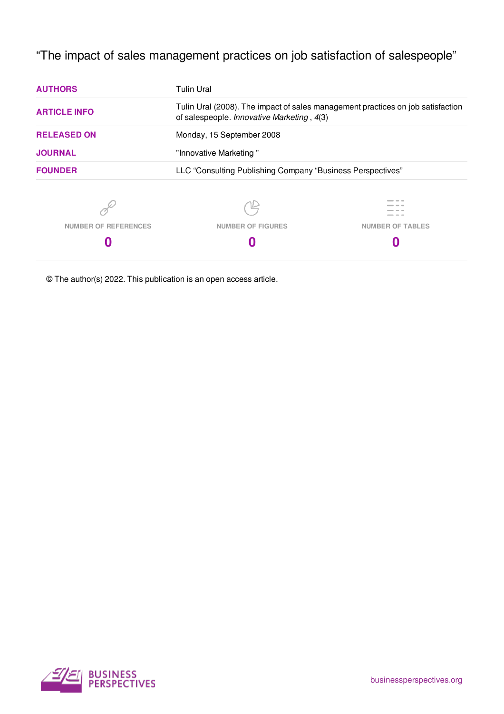"The impact of sales management practices on job satisfaction of salespeople"

| <b>AUTHORS</b>              | <b>Tulin Ural</b>                                                                                                             |                         |  |
|-----------------------------|-------------------------------------------------------------------------------------------------------------------------------|-------------------------|--|
| <b>ARTICLE INFO</b>         | Tulin Ural (2008). The impact of sales management practices on job satisfaction<br>of salespeople. Innovative Marketing, 4(3) |                         |  |
| <b>RELEASED ON</b>          | Monday, 15 September 2008                                                                                                     |                         |  |
| <b>JOURNAL</b>              | "Innovative Marketing"                                                                                                        |                         |  |
| <b>FOUNDER</b>              | LLC "Consulting Publishing Company "Business Perspectives"                                                                    |                         |  |
|                             |                                                                                                                               |                         |  |
| <b>NUMBER OF REFERENCES</b> | <b>NUMBER OF FIGURES</b>                                                                                                      | <b>NUMBER OF TABLES</b> |  |
|                             |                                                                                                                               |                         |  |
|                             |                                                                                                                               |                         |  |

© The author(s) 2022. This publication is an open access article.

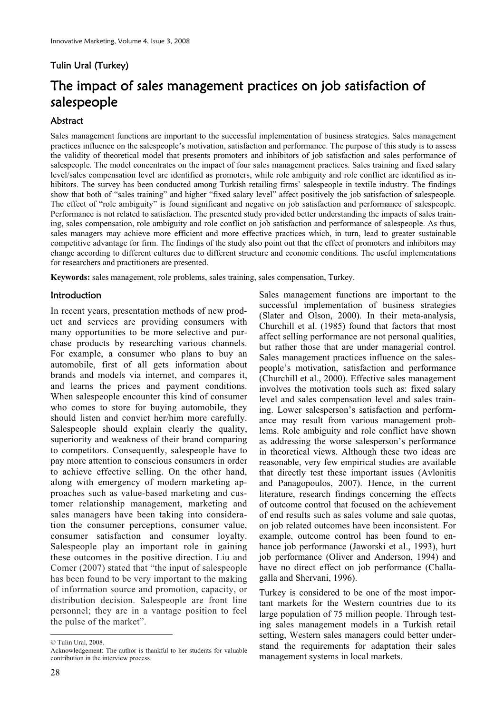# Tulin Ural (Turkey)

# The impact of sales management practices on job satisfaction of salespeople

## Abstract

Sales management functions are important to the successful implementation of business strategies. Sales management practices influence on the salespeople's motivation, satisfaction and performance. The purpose of this study is to assess the validity of theoretical model that presents promoters and inhibitors of job satisfaction and sales performance of salespeople. The model concentrates on the impact of four sales management practices. Sales training and fixed salary level/sales compensation level are identified as promoters, while role ambiguity and role conflict are identified as inhibitors. The survey has been conducted among Turkish retailing firms' salespeople in textile industry. The findings show that both of "sales training" and higher "fixed salary level" affect positively the job satisfaction of salespeople. The effect of "role ambiguity" is found significant and negative on job satisfaction and performance of salespeople. Performance is not related to satisfaction. The presented study provided better understanding the impacts of sales training, sales compensation, role ambiguity and role conflict on job satisfaction and performance of salespeople. As thus, sales managers may achieve more efficient and more effective practices which, in turn, lead to greater sustainable competitive advantage for firm. The findings of the study also point out that the effect of promoters and inhibitors may change according to different cultures due to different structure and economic conditions. The useful implementations for researchers and practitioners are presented.

**Keywords:** sales management, role problems, sales training, sales compensation, Turkey.

#### **Introduction**

In recent years, presentation methods of new product and services are providing consumers with many opportunities to be more selective and purchase products by researching various channels. For example, a consumer who plans to buy an automobile, first of all gets information about brands and models via internet, and compares it, and learns the prices and payment conditions. When salespeople encounter this kind of consumer who comes to store for buying automobile, they should listen and convict her/him more carefully. Salespeople should explain clearly the quality, superiority and weakness of their brand comparing to competitors. Consequently, salespeople have to pay more attention to conscious consumers in order to achieve effective selling. On the other hand, along with emergency of modern marketing approaches such as value-based marketing and customer relationship management, marketing and sales managers have been taking into consideration the consumer perceptions, consumer value, consumer satisfaction and consumer loyalty. Salespeople play an important role in gaining these outcomes in the positive direction. Liu and Comer (2007) stated that "the input of salespeople has been found to be very important to the making of information source and promotion, capacity, or distribution decision. Salespeople are front line personnel; they are in a vantage position to feel the pulse of the market".

Sales management functions are important to the successful implementation of business strategies (Slater and Olson, 2000). In their meta-analysis, Churchill et al. (1985) found that factors that most affect selling performance are not personal qualities, but rather those that are under managerial control. Sales management practices influence on the salespeople's motivation, satisfaction and performance (Churchill et al., 2000). Effective sales management involves the motivation tools such as: fixed salary level and sales compensation level and sales training. Lower salesperson's satisfaction and performance may result from various management problems. Role ambiguity and role conflict have shown as addressing the worse salesperson's performance in theoretical views. Although these two ideas are reasonable, very few empirical studies are available that directly test these important issues (Avlonitis and Panagopoulos, 2007). Hence, in the current literature, research findings concerning the effects of outcome control that focused on the achievement of end results such as sales volume and sale quotas, on job related outcomes have been inconsistent. For example, outcome control has been found to enhance job performance (Jaworski et al., 1993), hurt job performance (Oliver and Anderson, 1994) and have no direct effect on job performance (Challagalla and Shervani, 1996).

Turkey is considered to be one of the most important markets for the Western countries due to its large population of 75 million people. Through testing sales management models in a Turkish retail setting, Western sales managers could better understand the requirements for adaptation their sales management systems in local markets.

<sup>-</sup>© Tulin Ural, 2008.

Acknowledgement: The author is thankful to her students for valuable contribution in the interview process.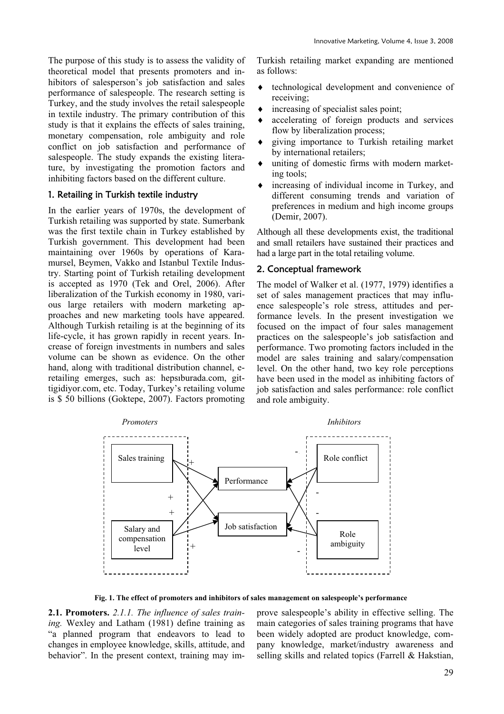The purpose of this study is to assess the validity of theoretical model that presents promoters and inhibitors of salesperson's job satisfaction and sales performance of salespeople. The research setting is Turkey, and the study involves the retail salespeople in textile industry. The primary contribution of this study is that it explains the effects of sales training, monetary compensation, role ambiguity and role conflict on job satisfaction and performance of salespeople. The study expands the existing literature, by investigating the promotion factors and inhibiting factors based on the different culture.

## 1. Retailing in Turkish textile industry

In the earlier years of 1970s, the development of Turkish retailing was supported by state. Sumerbank was the first textile chain in Turkey established by Turkish government. This development had been maintaining over 1960s by operations of Karamursel, Beymen, Vakko and Istanbul Textile Industry. Starting point of Turkish retailing development is accepted as 1970 (Tek and Orel, 2006). After liberalization of the Turkish economy in 1980, various large retailers with modern marketing approaches and new marketing tools have appeared. Although Turkish retailing is at the beginning of its life-cycle, it has grown rapidly in recent years. Increase of foreign investments in numbers and sales volume can be shown as evidence. On the other hand, along with traditional distribution channel, eretailing emerges, such as: hepsıburada.com, gittigidiyor.com, etc. Today, Turkey's retailing volume is \$ 50 billions (Goktepe, 2007). Factors promoting

Turkish retailing market expanding are mentioned as follows:

- $\bullet$  technological development and convenience of receiving;
- $\bullet$  increasing of specialist sales point;
- accelerating of foreign products and services flow by liberalization process;
- i giving importance to Turkish retailing market by international retailers;
- uniting of domestic firms with modern marketing tools;
- $\bullet$  increasing of individual income in Turkey, and different consuming trends and variation of preferences in medium and high income groups (Demir, 2007).

Although all these developments exist, the traditional and small retailers have sustained their practices and had a large part in the total retailing volume.

#### 2. Conceptual framework

The model of Walker et al. (1977, 1979) identifies a set of sales management practices that may influence salespeople's role stress, attitudes and performance levels. In the present investigation we focused on the impact of four sales management practices on the salespeople's job satisfaction and performance. Two promoting factors included in the model are sales training and salary/compensation level. On the other hand, two key role perceptions have been used in the model as inhibiting factors of job satisfaction and sales performance: role conflict and role ambiguity.



**Fig. 1. The effect of promoters and inhibitors of sales management on salespeople's performance** 

**2.1. Promoters.** *2.1.1. The influence of sales training.* Wexley and Latham (1981) define training as "a planned program that endeavors to lead to changes in employee knowledge, skills, attitude, and behavior". In the present context, training may improve salespeople's ability in effective selling. The main categories of sales training programs that have been widely adopted are product knowledge, company knowledge, market/industry awareness and selling skills and related topics (Farrell & Hakstian,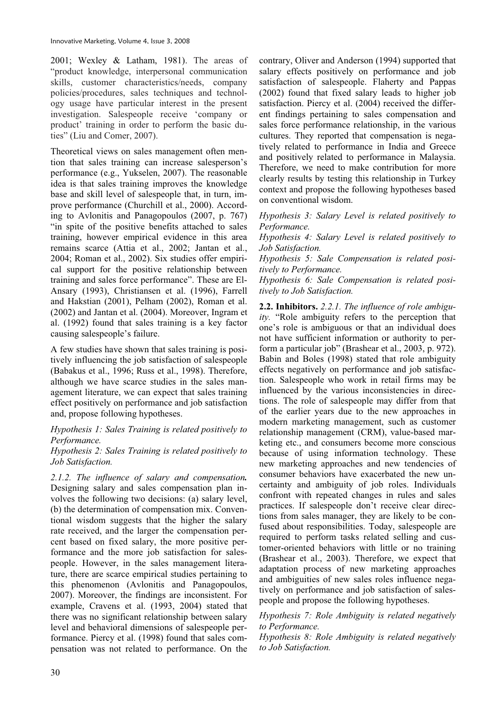2001; Wexley & Latham, 1981). The areas of "product knowledge, interpersonal communication skills, customer characteristics/needs, company policies/procedures, sales techniques and technology usage have particular interest in the present investigation. Salespeople receive 'company or product' training in order to perform the basic duties" (Liu and Comer, 2007).

Theoretical views on sales management often mention that sales training can increase salesperson's performance (e.g., Yukselen, 2007). The reasonable idea is that sales training improves the knowledge base and skill level of salespeople that, in turn, improve performance (Churchill et al., 2000). According to Avlonitis and Panagopoulos (2007, p. 767) "in spite of the positive benefits attached to sales training, however empirical evidence in this area remains scarce (Attia et al., 2002; Jantan et al., 2004; Roman et al., 2002). Six studies offer empirical support for the positive relationship between training and sales force performance". These are El-Ansary (1993), Christiansen et al. (1996), Farrell and Hakstian (2001), Pelham (2002), Roman et al. (2002) and Jantan et al. (2004). Moreover, Ingram et al. (1992) found that sales training is a key factor causing salespeople's failure.

A few studies have shown that sales training is positively influencing the job satisfaction of salespeople (Babakus et al., 1996; Russ et al., 1998). Therefore, although we have scarce studies in the sales management literature, we can expect that sales training effect positively on performance and job satisfaction and, propose following hypotheses.

## *Hypothesis 1: Sales Training is related positively to Performance.*

#### *Hypothesis 2: Sales Training is related positively to Job Satisfaction.*

*2.1.2. The influence of salary and compensation.* Designing salary and sales compensation plan involves the following two decisions: (a) salary level, (b) the determination of compensation mix. Conventional wisdom suggests that the higher the salary rate received, and the larger the compensation percent based on fixed salary, the more positive performance and the more job satisfaction for salespeople. However, in the sales management literature, there are scarce empirical studies pertaining to this phenomenon (Avlonitis and Panagopoulos, 2007). Moreover, the findings are inconsistent. For example, Cravens et al. (1993, 2004) stated that there was no significant relationship between salary level and behavioral dimensions of salespeople performance. Piercy et al. (1998) found that sales compensation was not related to performance. On the contrary, Oliver and Anderson (1994) supported that salary effects positively on performance and job satisfaction of salespeople. Flaherty and Pappas (2002) found that fixed salary leads to higher job satisfaction. Piercy et al. (2004) received the different findings pertaining to sales compensation and sales force performance relationship, in the various cultures. They reported that compensation is negatively related to performance in India and Greece and positively related to performance in Malaysia. Therefore, we need to make contribution for more clearly results by testing this relationship in Turkey context and propose the following hypotheses based on conventional wisdom.

*Hypothesis 3: Salary Level is related positively to Performance.* 

*Hypothesis 4: Salary Level is related positively to Job Satisfaction.* 

*Hypothesis 5: Sale Compensation is related positively to Performance.* 

*Hypothesis 6: Sale Compensation is related positively to Job Satisfaction.* 

**2.2. Inhibitors.** *2.2.1. The influence of role ambiguity.* "Role ambiguity refers to the perception that one's role is ambiguous or that an individual does not have sufficient information or authority to perform a particular job" (Brashear et al., 2003, p. 972). Babin and Boles (1998) stated that role ambiguity effects negatively on performance and job satisfaction. Salespeople who work in retail firms may be influenced by the various inconsistencies in directions. The role of salespeople may differ from that of the earlier years due to the new approaches in modern marketing management, such as customer relationship management (CRM), value-based marketing etc., and consumers become more conscious because of using information technology. These new marketing approaches and new tendencies of consumer behaviors have exacerbated the new uncertainty and ambiguity of job roles. Individuals confront with repeated changes in rules and sales practices. If salespeople don't receive clear directions from sales manager, they are likely to be confused about responsibilities. Today, salespeople are required to perform tasks related selling and customer-oriented behaviors with little or no training (Brashear et al., 2003). Therefore, we expect that adaptation process of new marketing approaches and ambiguities of new sales roles influence negatively on performance and job satisfaction of salespeople and propose the following hypotheses.

*Hypothesis 7: Role Ambiguity is related negatively to Performance.* 

*Hypothesis 8: Role Ambiguity is related negatively to Job Satisfaction.*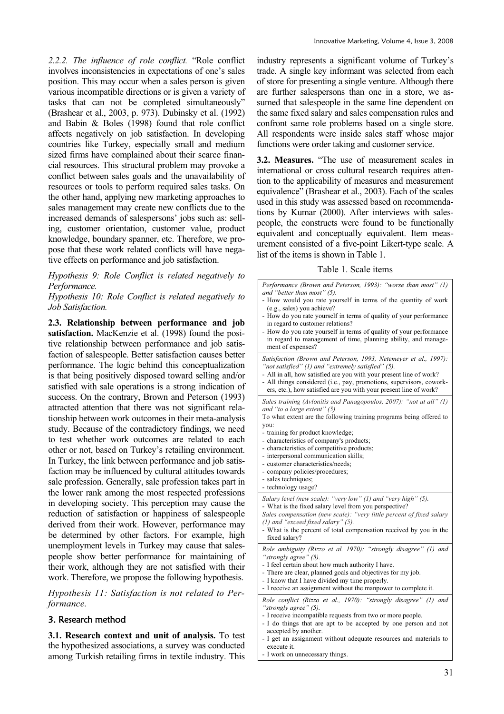*2.2.2. The influence of role conflict.* "Role conflict involves inconsistencies in expectations of one's sales position. This may occur when a sales person is given various incompatible directions or is given a variety of tasks that can not be completed simultaneously" (Brashear et al., 2003, p. 973). Dubinsky et al. (1992) and Babin & Boles (1998) found that role conflict affects negatively on job satisfaction. In developing countries like Turkey, especially small and medium sized firms have complained about their scarce financial resources. This structural problem may provoke a conflict between sales goals and the unavailability of resources or tools to perform required sales tasks. On the other hand, applying new marketing approaches to sales management may create new conflicts due to the increased demands of salespersons' jobs such as: selling, customer orientation, customer value, product knowledge, boundary spanner, etc. Therefore, we propose that these work related conflicts will have negative effects on performance and job satisfaction.

*Hypothesis 9: Role Conflict is related negatively to Performance.* 

*Hypothesis 10: Role Conflict is related negatively to Job Satisfaction.* 

**2.3. Relationship between performance and job satisfaction.** MacKenzie et al. (1998) found the positive relationship between performance and job satisfaction of salespeople. Better satisfaction causes better performance. The logic behind this conceptualization is that being positively disposed toward selling and/or satisfied with sale operations is a strong indication of success. On the contrary, Brown and Peterson (1993) attracted attention that there was not significant relationship between work outcomes in their meta-analysis study. Because of the contradictory findings, we need to test whether work outcomes are related to each other or not, based on Turkey's retailing environment. In Turkey, the link between performance and job satisfaction may be influenced by cultural attitudes towards sale profession. Generally, sale profession takes part in the lower rank among the most respected professions in developing society. This perception may cause the reduction of satisfaction or happiness of salespeople derived from their work. However, performance may be determined by other factors. For example, high unemployment levels in Turkey may cause that salespeople show better performance for maintaining of their work, although they are not satisfied with their work. Therefore, we propose the following hypothesis.

*Hypothesis 11: Satisfaction is not related to Performance.*

## 3. Research method

**3.1. Research context and unit of analysis.** To test the hypothesized associations, a survey was conducted among Turkish retailing firms in textile industry. This

industry represents a significant volume of Turkey's trade. A single key informant was selected from each of store for presenting a single venture. Although there are further salespersons than one in a store, we assumed that salespeople in the same line dependent on the same fixed salary and sales compensation rules and confront same role problems based on a single store. All respondents were inside sales staff whose major functions were order taking and customer service.

**3.2. Measures.** "The use of measurement scales in international or cross cultural research requires attention to the applicability of measures and measurement equivalence" (Brashear et al., 2003). Each of the scales used in this study was assessed based on recommendations by Kumar (2000). After interviews with salespeople, the constructs were found to be functionally equivalent and conceptually equivalent. Item measurement consisted of a five-point Likert-type scale. A list of the items is shown in Table 1.

Table 1. Scale items

| Performance (Brown and Peterson, 1993): "worse than most" (1)<br>and "better than most" $(5)$ .<br>- How would you rate yourself in terms of the quantity of work<br>(e.g., sales) you achieve?<br>- How do you rate yourself in terms of quality of your performance<br>in regard to customer relations?<br>- How do you rate yourself in terms of quality of your performance<br>in regard to management of time, planning ability, and manage-<br>ment of expenses?          |
|---------------------------------------------------------------------------------------------------------------------------------------------------------------------------------------------------------------------------------------------------------------------------------------------------------------------------------------------------------------------------------------------------------------------------------------------------------------------------------|
| Satisfaction (Brown and Peterson, 1993, Netemeyer et al., 1997):<br>"not satisfied" (1) and "extremely satisfied" (5).<br>- All in all, how satisfied are you with your present line of work?<br>- All things considered (i.e., pay, promotions, supervisors, cowork-<br>ers, etc.), how satisfied are you with your present line of work?                                                                                                                                      |
| Sales training (Avlonitis and Panagopoulos, 2007): "not at all" (1)<br>and "to a large extent" (5).<br>To what extent are the following training programs being offered to<br>you:<br>- training for product knowledge;<br>- characteristics of company's products;<br>- characteristics of competitive products;<br>- interpersonal communication skills;<br>- customer characteristics/needs;<br>- company policies/procedures;<br>- sales techniques;<br>- technology usage? |
| Salary level (new scale): "very low" (1) and "very high" (5).<br>- What is the fixed salary level from you perspective?<br>Sales compensation (new scale): "very little percent of fixed salary<br>(1) and "exceed fixed salary" (5).<br>- What is the percent of total compensation received by you in the<br>fixed salary?                                                                                                                                                    |
| Role ambiguity (Rizzo et al. 1970): "strongly disagree" (1) and<br>"strongly agree" (5).<br>- I feel certain about how much authority I have.<br>- There are clear, planned goals and objectives for my job.<br>- I know that I have divided my time properly.<br>- I receive an assignment without the manpower to complete it.                                                                                                                                                |
| Role conflict (Rizzo et al., 1970): "strongly disagree" (1) and<br>"strongly agree" (5).<br>- I receive incompatible requests from two or more people.<br>- I do things that are apt to be accepted by one person and not<br>accepted by another.<br>- I get an assignment without adequate resources and materials to<br>execute it.<br>- I work on unnecessary things.                                                                                                        |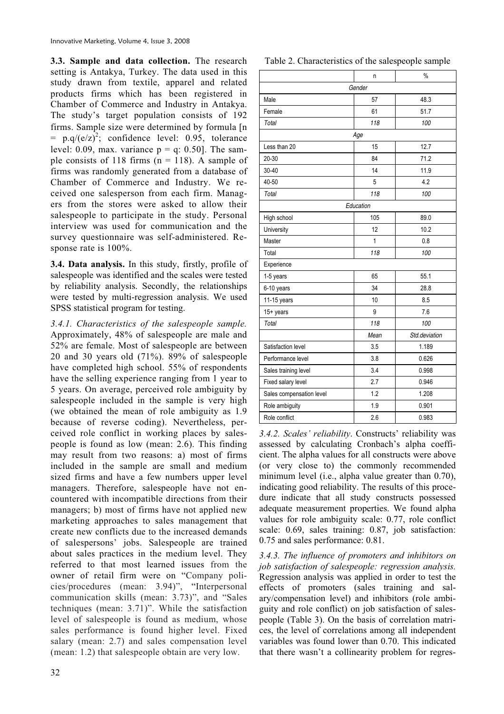**3.3. Sample and data collection.** The research setting is Antakya, Turkey. The data used in this study drawn from textile, apparel and related products firms which has been registered in Chamber of Commerce and Industry in Antakya. The study's target population consists of 192 firms. Sample size were determined by formula [n =  $p.q/(e/z)^2$ ; confidence level: 0.95, tolerance level: 0.09, max. variance  $p = q$ : 0.50]. The sample consists of 118 firms ( $n = 118$ ). A sample of firms was randomly generated from a database of Chamber of Commerce and Industry. We received one salesperson from each firm. Managers from the stores were asked to allow their salespeople to participate in the study. Personal interview was used for communication and the survey questionnaire was self-administered. Response rate is 100%.

**3.4. Data analysis.** In this study, firstly, profile of salespeople was identified and the scales were tested by reliability analysis. Secondly, the relationships were tested by multi-regression analysis. We used SPSS statistical program for testing.

*3.4.1. Characteristics of the salespeople sample.*  Approximately, 48% of salespeople are male and 52% are female. Most of salespeople are between 20 and 30 years old (71%). 89% of salespeople have completed high school. 55% of respondents have the selling experience ranging from 1 year to 5 years. On average, perceived role ambiguity by salespeople included in the sample is very high (we obtained the mean of role ambiguity as 1.9 because of reverse coding). Nevertheless, perceived role conflict in working places by salespeople is found as low (mean: 2.6). This finding may result from two reasons: a) most of firms included in the sample are small and medium sized firms and have a few numbers upper level managers. Therefore, salespeople have not encountered with incompatible directions from their managers; b) most of firms have not applied new marketing approaches to sales management that create new conflicts due to the increased demands of salespersons' jobs. Salespeople are trained about sales practices in the medium level. They referred to that most learned issues from the owner of retail firm were on "Company policies/procedures (mean: 3.94)", "Interpersonal communication skills (mean: 3.73)", and "Sales techniques (mean: 3.71)". While the satisfaction level of salespeople is found as medium, whose sales performance is found higher level. Fixed salary (mean: 2.7) and sales compensation level (mean: 1.2) that salespeople obtain are very low.

# 32

|  |  | Table 2. Characteristics of the salespeople sample |  |  |  |
|--|--|----------------------------------------------------|--|--|--|
|--|--|----------------------------------------------------|--|--|--|

|                          | n            | $\%$          |  |  |
|--------------------------|--------------|---------------|--|--|
| Gender                   |              |               |  |  |
| Male                     | 57           | 48.3          |  |  |
| Female                   | 61           | 51.7          |  |  |
| Total                    | 118          | 100           |  |  |
|                          | Age          |               |  |  |
| Less than 20             | 15           | 12.7          |  |  |
| 20-30                    | 84           | 71.2          |  |  |
| $30 - 40$                | 14           | 11.9          |  |  |
| 40-50                    | 5            | 4.2           |  |  |
| Total                    | 118          | 100           |  |  |
|                          | Education    |               |  |  |
| High school              | 105          | 89.0          |  |  |
| University               | 12           | 10.2          |  |  |
| Master                   | $\mathbf{1}$ | 0.8           |  |  |
| Total                    | 118          | 100           |  |  |
| Experience               |              |               |  |  |
| 1-5 years                | 65           | 55.1          |  |  |
| 6-10 years               | 34           | 28.8          |  |  |
| 11-15 years              | 10           | 8.5           |  |  |
| 15+ years                | 9            | 7.6           |  |  |
| Total                    | 118          | 100           |  |  |
|                          | Mean         | Std.deviation |  |  |
| Satisfaction level       | 3.5          | 1.189         |  |  |
| Performance level        | 3.8          | 0.626         |  |  |
| Sales training level     | 3.4          | 0.998         |  |  |
| Fixed salary level       | 2.7          | 0.946         |  |  |
| Sales compensation level | 1.2          | 1.208         |  |  |
| Role ambiguity           | 1.9          | 0.901         |  |  |
| Role conflict            | 2.6          | 0.983         |  |  |

*3.4.2. Scales' reliability*. Constructs' reliability was assessed by calculating Cronbach's alpha coefficient. The alpha values for all constructs were above (or very close to) the commonly recommended minimum level (i.e., alpha value greater than 0.70), indicating good reliability. The results of this procedure indicate that all study constructs possessed adequate measurement properties. We found alpha values for role ambiguity scale: 0.77, role conflict scale: 0.69, sales training: 0.87, job satisfaction: 0.75 and sales performance: 0.81.

*3.4.3. The influence of promoters and inhibitors on job satisfaction of salespeople: regression analysis.*  Regression analysis was applied in order to test the effects of promoters (sales training and salary/compensation level) and inhibitors (role ambiguity and role conflict) on job satisfaction of salespeople (Table 3). On the basis of correlation matrices, the level of correlations among all independent variables was found lower than 0.70. This indicated that there wasn't a collinearity problem for regres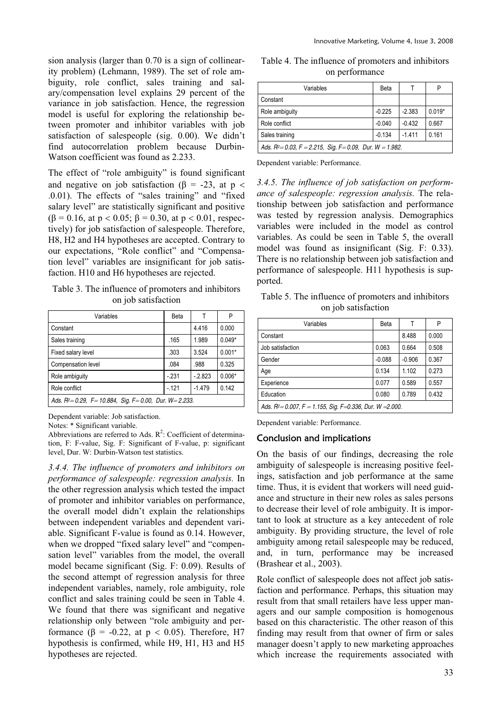sion analysis (larger than 0.70 is a sign of collinearity problem) (Lehmann, 1989). The set of role ambiguity, role conflict, sales training and salary/compensation level explains 29 percent of the variance in job satisfaction. Hence, the regression model is useful for exploring the relationship between promoter and inhibitor variables with job satisfaction of salespeople (sig. 0.00). We didn't find autocorrelation problem because Durbin-Watson coefficient was found as 2.233.

The effect of "role ambiguity" is found significant and negative on job satisfaction ( $\beta$  = -23, at p < .0.01). The effects of "sales training" and "fixed salary level" are statistically significant and positive  $(\beta = 0.16, \text{ at } p < 0.05; \beta = 0.30, \text{ at } p < 0.01, \text{ respec-}$ tively) for job satisfaction of salespeople. Therefore, H8, H2 and H4 hypotheses are accepted. Contrary to our expectations, "Role conflict" and "Compensation level" variables are insignificant for job satisfaction. H10 and H6 hypotheses are rejected.

Table 3. The influence of promoters and inhibitors on job satisfaction

| Variables                                                               | Beta   |          | P        |
|-------------------------------------------------------------------------|--------|----------|----------|
| Constant                                                                |        | 4.416    | 0.000    |
| Sales training                                                          | .165   | 1.989    | $0.049*$ |
| Fixed salary level                                                      | .303   | 3.524    | $0.001*$ |
| Compensation level                                                      | .084   | .988     | 0.325    |
| Role ambiguity                                                          | $-231$ | $-2.823$ | $0.006*$ |
| Role conflict                                                           | $-121$ | $-1.479$ | 0.142    |
| Ads. $R^2 = 0.29$ , $F = 10.884$ , Sig. $F = 0.00$ , Dur. $W = 2.233$ . |        |          |          |

Dependent variable: Job satisfaction.

Notes: \* Significant variable.

Abbreviations are referred to Ads.  $R^2$ : Coefficient of determination, F: F-value, Sig. F: Significant of F-value, p: significant level, Dur. W: Durbin-Watson test statistics.

*3.4.4. The influence of promoters and inhibitors on performance of salespeople: regression analysis.* In the other regression analysis which tested the impact of promoter and inhibitor variables on performance, the overall model didn't explain the relationships between independent variables and dependent variable. Significant F-value is found as 0.14. However, when we dropped "fixed salary level" and "compensation level" variables from the model, the overall model became significant (Sig. F: 0.09). Results of the second attempt of regression analysis for three independent variables, namely, role ambiguity, role conflict and sales training could be seen in Table 4. We found that there was significant and negative relationship only between "role ambiguity and performance ( $\beta$  = -0.22, at  $p < 0.05$ ). Therefore, H7 hypothesis is confirmed, while H9, H1, H3 and H5 hypotheses are rejected.

Table 4. The influence of promoters and inhibitors on performance

| Variables                                                              | Beta     |          | P        |
|------------------------------------------------------------------------|----------|----------|----------|
| Constant                                                               |          |          |          |
| Role ambiguity                                                         | $-0.225$ | $-2.383$ | $0.019*$ |
| Role conflict                                                          | $-0.040$ | $-0.432$ | 0.667    |
| Sales training                                                         | $-0.134$ | $-1.411$ | 0.161    |
| Ads. $R^2 = 0.03$ , $F = 2.215$ , Sig. $F = 0.09$ , Dur. $W = 1.982$ . |          |          |          |

Dependent variable: Performance.

*3.4.5. The influence of job satisfaction on performance of salespeople: regression analysis.* The relationship between job satisfaction and performance was tested by regression analysis. Demographics variables were included in the model as control variables. As could be seen in Table 5, the overall model was found as insignificant (Sig. F: 0.33). There is no relationship between job satisfaction and performance of salespeople. H11 hypothesis is supported.

Table 5. The influence of promoters and inhibitors on job satisfaction

| Variables                                                             | Beta     |          | P     |
|-----------------------------------------------------------------------|----------|----------|-------|
| Constant                                                              |          | 8.488    | 0.000 |
| Job satisfaction                                                      | 0.063    | 0.664    | 0.508 |
| Gender                                                                | $-0.088$ | $-0.906$ | 0.367 |
| Age                                                                   | 0.134    | 1.102    | 0.273 |
| Experience                                                            | 0.077    | 0.589    | 0.557 |
| Education                                                             | 0.080    | 0.789    | 0.432 |
| Ads. $R^2 = 0.007$ , $F = 1.155$ , Sig. $F = 0.336$ , Dur. W = 2.000. |          |          |       |

Dependent variable: Performance.

#### Conclusion and implications

On the basis of our findings, decreasing the role ambiguity of salespeople is increasing positive feelings, satisfaction and job performance at the same time. Thus, it is evident that workers will need guidance and structure in their new roles as sales persons to decrease their level of role ambiguity. It is important to look at structure as a key antecedent of role ambiguity. By providing structure, the level of role ambiguity among retail salespeople may be reduced, and, in turn, performance may be increased (Brashear et al., 2003).

Role conflict of salespeople does not affect job satisfaction and performance. Perhaps, this situation may result from that small retailers have less upper managers and our sample composition is homogenous based on this characteristic. The other reason of this finding may result from that owner of firm or sales manager doesn't apply to new marketing approaches which increase the requirements associated with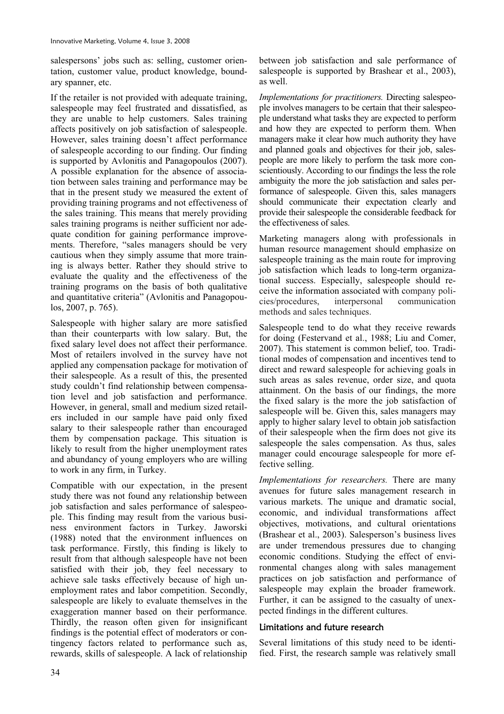salespersons' jobs such as: selling, customer orientation, customer value, product knowledge, boundary spanner, etc.

If the retailer is not provided with adequate training, salespeople may feel frustrated and dissatisfied, as they are unable to help customers. Sales training affects positively on job satisfaction of salespeople. However, sales training doesn't affect performance of salespeople according to our finding. Our finding is supported by Avlonitis and Panagopoulos (2007). A possible explanation for the absence of association between sales training and performance may be that in the present study we measured the extent of providing training programs and not effectiveness of the sales training. This means that merely providing sales training programs is neither sufficient nor adequate condition for gaining performance improvements. Therefore, "sales managers should be very cautious when they simply assume that more training is always better. Rather they should strive to evaluate the quality and the effectiveness of the training programs on the basis of both qualitative and quantitative criteria" (Avlonitis and Panagopoulos, 2007, p. 765).

Salespeople with higher salary are more satisfied than their counterparts with low salary. But, the fixed salary level does not affect their performance. Most of retailers involved in the survey have not applied any compensation package for motivation of their salespeople. As a result of this, the presented study couldn't find relationship between compensation level and job satisfaction and performance. However, in general, small and medium sized retailers included in our sample have paid only fixed salary to their salespeople rather than encouraged them by compensation package. This situation is likely to result from the higher unemployment rates and abundancy of young employers who are willing to work in any firm, in Turkey.

Compatible with our expectation, in the present study there was not found any relationship between job satisfaction and sales performance of salespeople. This finding may result from the various business environment factors in Turkey. Jaworski (1988) noted that the environment influences on task performance. Firstly, this finding is likely to result from that although salespeople have not been satisfied with their job, they feel necessary to achieve sale tasks effectively because of high unemployment rates and labor competition. Secondly, salespeople are likely to evaluate themselves in the exaggeration manner based on their performance. Thirdly, the reason often given for insignificant findings is the potential effect of moderators or contingency factors related to performance such as, rewards, skills of salespeople. A lack of relationship between job satisfaction and sale performance of salespeople is supported by Brashear et al., 2003), as well.

*Implementations for practitioners.* Directing salespeople involves managers to be certain that their salespeople understand what tasks they are expected to perform and how they are expected to perform them. When managers make it clear how much authority they have and planned goals and objectives for their job, salespeople are more likely to perform the task more conscientiously. According to our findings the less the role ambiguity the more the job satisfaction and sales performance of salespeople. Given this, sales managers should communicate their expectation clearly and provide their salespeople the considerable feedback for the effectiveness of sales.

Marketing managers along with professionals in human resource management should emphasize on salespeople training as the main route for improving job satisfaction which leads to long-term organizational success. Especially, salespeople should receive the information associated with company policies/procedures, interpersonal communication methods and sales techniques.

Salespeople tend to do what they receive rewards for doing (Festervand et al., 1988; Liu and Comer, 2007). This statement is common belief, too. Traditional modes of compensation and incentives tend to direct and reward salespeople for achieving goals in such areas as sales revenue, order size, and quota attainment. On the basis of our findings, the more the fixed salary is the more the job satisfaction of salespeople will be. Given this, sales managers may apply to higher salary level to obtain job satisfaction of their salespeople when the firm does not give its salespeople the sales compensation. As thus, sales manager could encourage salespeople for more effective selling.

*Implementations for researchers.* There are many avenues for future sales management research in various markets. The unique and dramatic social, economic, and individual transformations affect objectives, motivations, and cultural orientations (Brashear et al., 2003). Salesperson's business lives are under tremendous pressures due to changing economic conditions. Studying the effect of environmental changes along with sales management practices on job satisfaction and performance of salespeople may explain the broader framework. Further, it can be assigned to the casualty of unexpected findings in the different cultures.

# Limitations and future research

Several limitations of this study need to be identified. First, the research sample was relatively small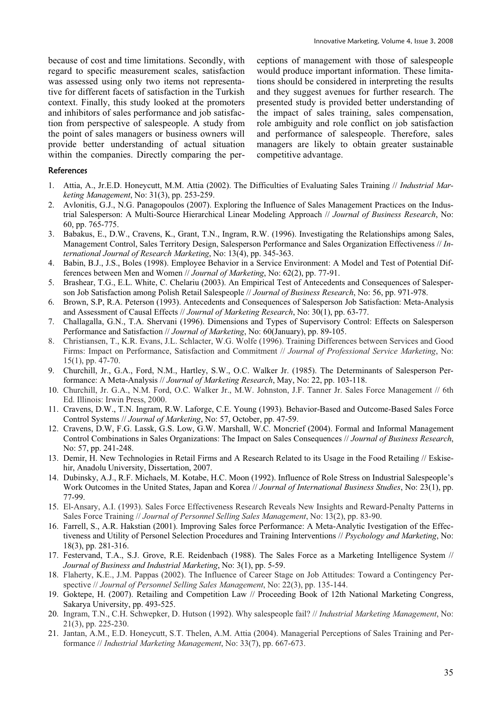because of cost and time limitations. Secondly, with regard to specific measurement scales, satisfaction was assessed using only two items not representative for different facets of satisfaction in the Turkish context. Finally, this study looked at the promoters and inhibitors of sales performance and job satisfaction from perspective of salespeople. A study from the point of sales managers or business owners will provide better understanding of actual situation within the companies. Directly comparing the perceptions of management with those of salespeople would produce important information. These limitations should be considered in interpreting the results and they suggest avenues for further research. The presented study is provided better understanding of the impact of sales training, sales compensation, role ambiguity and role conflict on job satisfaction and performance of salespeople. Therefore, sales managers are likely to obtain greater sustainable competitive advantage.

#### References

- 1. Attia, A., Jr.E.D. Honeycutt, M.M. Attia (2002). The Difficulties of Evaluating Sales Training // *Industrial Marketing Management*, No: 31(3), pp. 253-259.
- 2. Avlonitis, G.J., N.G. Panagopoulos (2007). Exploring the Influence of Sales Management Practices on the Industrial Salesperson: A Multi-Source Hierarchical Linear Modeling Approach // *Journal of Business Research*, No: 60, pp. 765-775.
- 3. Babakus, E., D.W., Cravens, K., Grant, T.N., Ingram, R.W. (1996). Investigating the Relationships among Sales, Management Control, Sales Territory Design, Salesperson Performance and Sales Organization Effectiveness // *International Journal of Research Marketing*, No: 13(4), pp. 345-363.
- 4. Babin, B.J., J.S., Boles (1998). Employee Behavior in a Service Environment: A Model and Test of Potential Differences between Men and Women // *Journal of Marketing*, No: 62(2), pp. 77-91.
- 5. Brashear, T.G., E.L. White, C. Chelariu (2003). An Empirical Test of Antecedents and Consequences of Salesperson Job Satisfaction among Polish Retail Salespeople // *Journal of Business Research*, No: 56, pp. 971-978.
- 6. Brown, S.P, R.A. Peterson (1993). Antecedents and Consequences of Salesperson Job Satisfaction: Meta-Analysis and Assessment of Causal Effects // *Journal of Marketing Research*, No: 30(1), pp. 63-77.
- 7. Challagalla, G.N., T.A. Shervani (1996). Dimensions and Types of Supervisory Control: Effects on Salesperson Performance and Satisfaction // *Journal of Marketing*, No: 60(January), pp. 89-105.
- 8. Christiansen, T., K.R. Evans, J.L. Schlacter, W.G. Wolfe (1996). Training Differences between Services and Good Firms: Impact on Performance, Satisfaction and Commitment // *Journal of Professional Service Marketing*, No: 15(1), pp. 47-70.
- 9. Churchill, Jr., G.A., Ford, N.M., Hartley, S.W., O.C. Walker Jr. (1985). The Determinants of Salesperson Performance: A Meta-Analysis // *Journal of Marketing Research*, May, No: 22, pp. 103-118.
- 10. Churchill, Jr. G.A., N.M. Ford, O.C. Walker Jr., M.W. Johnston, J.F. Tanner Jr. Sales Force Management // 6th Ed. Illinois: Irwin Press, 2000.
- 11. Cravens, D.W., T.N. Ingram, R.W. Laforge, C.E. Young (1993). Behavior-Based and Outcome-Based Sales Force Control Systems // *Journal of Marketing*, No: 57, October, pp. 47-59.
- 12. Cravens, D.W, F.G. Lassk, G.S. Low, G.W. Marshall, W.C. Moncrief (2004). Formal and Informal Management Control Combinations in Sales Organizations: The Impact on Sales Consequences // *Journal of Business Research*, No: 57, pp. 241-248.
- 13. Demir, H. New Technologies in Retail Firms and A Research Related to its Usage in the Food Retailing // Eskisehir, Anadolu University, Dissertation, 2007.
- 14. Dubinsky, A.J., R.F. Michaels, M. Kotabe, H.C. Moon (1992). Influence of Role Stress on Industrial Salespeople's Work Outcomes in the United States, Japan and Korea // *Journal of International Business Studies*, No: 23(1), pp. 77-99.
- 15. El-Ansary, A.I. (1993). Sales Force Effectiveness Research Reveals New Insights and Reward-Penalty Patterns in Sales Force Training // *Journal of Personnel Selling Sales Management*, No: 13(2), pp. 83-90.
- 16. Farrell, S., A.R. Hakstian (2001). Improving Sales force Performance: A Meta-Analytic Ivestigation of the Effectiveness and Utility of Personel Selection Procedures and Training Interventions // *Psychology and Marketing*, No: 18(3), pp. 281-316.
- 17. Festervand, T.A., S.J. Grove, R.E. Reidenbach (1988). The Sales Force as a Marketing Intelligence System // *Journal of Business and Industrial Marketing*, No: 3(1), pp. 5-59.
- 18. Flaherty, K.E., J.M. Pappas (2002). The Influence of Career Stage on Job Attitudes: Toward a Contingency Perspective // *Journal of Personnel Selling Sales Management*, No: 22(3), pp. 135-144.
- 19. Goktepe, H. (2007). Retailing and Competition Law // Proceeding Book of 12th National Marketing Congress, Sakarya University, pp. 493-525.
- 20. Ingram, T.N., C.H. Schwepker, D. Hutson (1992). Why salespeople fail? // *Industrial Marketing Management*, No: 21(3), pp. 225-230.
- 21. Jantan, A.M., E.D. Honeycutt, S.T. Thelen, A.M. Attia (2004). Managerial Perceptions of Sales Training and Performance // *Industrial Marketing Management*, No: 33(7), pp. 667-673.